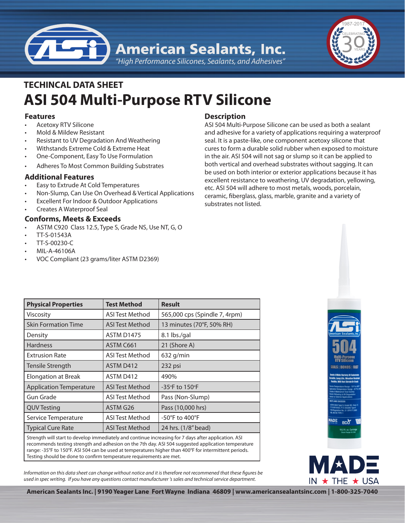



# **ASI 504 Multi-Purpose RTV Silicone TECHINCAL DATA SHEET**

### **Features**

- **Acetoxy RTV Silicone**
- Mold & Mildew Resistant
- Resistant to UV Degradation And Weathering
- Withstands Extreme Cold & Extreme Heat
- One-Component, Easy To Use Formulation
- Adheres To Most Common Building Substrates

## **Additional Features**

- Easy to Extrude At Cold Temperatures
- Non-Slump, Can Use On Overhead & Vertical Applications
- Excellent For Indoor & Outdoor Applications
- **Creates A Waterproof Seal**

## **Conforms, Meets & Exceeds**

- ASTM C920 Class 12.5, Type S, Grade NS, Use NT, G, O
- • TT-S-01543A
- • TT-S-00230-C
- MIL-A-46106A
- VOC Compliant (23 grams/liter ASTM D2369)

# **Description**

ASI 504 Multi-Purpose Silicone can be used as both a sealant and adhesive for a variety of applications requiring a waterproof seal. It is a paste-like, one component acetoxy silicone that cures to form a durable solid rubber when exposed to moisture in the air. ASI 504 will not sag or slump so it can be applied to both vertical and overhead substrates without sagging. It can be used on both interior or exterior applications because it has excellent resistance to weathering, UV degradation, yellowing, etc. ASI 504 will adhere to most metals, woods, porcelain, ceramic, fiberglass, glass, marble, granite and a variety of substrates not listed.

| <b>Physical Properties</b>                                                                                                                                                                                                                 | <b>Test Method</b>                                                                                                                                                                                                                | <b>Result</b>                 |
|--------------------------------------------------------------------------------------------------------------------------------------------------------------------------------------------------------------------------------------------|-----------------------------------------------------------------------------------------------------------------------------------------------------------------------------------------------------------------------------------|-------------------------------|
| Viscosity                                                                                                                                                                                                                                  | <b>ASI Test Method</b>                                                                                                                                                                                                            | 565,000 cps (Spindle 7, 4rpm) |
| <b>Skin Formation Time</b>                                                                                                                                                                                                                 | ASI Test Method                                                                                                                                                                                                                   | 13 minutes (70°F, 50% RH)     |
| Density                                                                                                                                                                                                                                    | <b>ASTM D1475</b>                                                                                                                                                                                                                 | 8.1 lbs./gal                  |
| <b>Hardness</b>                                                                                                                                                                                                                            | ASTM C661                                                                                                                                                                                                                         | 21 (Shore A)                  |
| <b>Extrusion Rate</b>                                                                                                                                                                                                                      | <b>ASI Test Method</b>                                                                                                                                                                                                            | 632 g/min                     |
| Tensile Strength                                                                                                                                                                                                                           | ASTM D412                                                                                                                                                                                                                         | 232 psi                       |
| <b>Elongation at Break</b>                                                                                                                                                                                                                 | ASTM D412                                                                                                                                                                                                                         | 490%                          |
| <b>Application Temperature</b>                                                                                                                                                                                                             | <b>ASI Test Method</b>                                                                                                                                                                                                            | -35°F to 150°F                |
| <b>Gun Grade</b>                                                                                                                                                                                                                           | <b>ASI Test Method</b>                                                                                                                                                                                                            | Pass (Non-Slump)              |
| <b>QUV Testing</b>                                                                                                                                                                                                                         | ASTM G26                                                                                                                                                                                                                          | Pass (10,000 hrs)             |
| Service Temperature                                                                                                                                                                                                                        | <b>ASI Test Method</b>                                                                                                                                                                                                            | -50°F to 400°F                |
| <b>Typical Cure Rate</b>                                                                                                                                                                                                                   | <b>ASI Test Method</b>                                                                                                                                                                                                            | 24 hrs. (1/8" bead)           |
| $\sigma_{\rm{c}}$ and $\sigma_{\rm{c}}$ are the set of the set of the set of the set of the set of the set of the set of the set of the set of the set of the set of the set of the set of the set of the set of the set of the set of the | $\mathbf{r}$ . The contract of the contract of the contract of the contract of the contract of the contract of the contract of the contract of the contract of the contract of the contract of the contract of the contract of th |                               |

Strength will start to develop immediately and continue increasing for 7 days after application. ASI recommends testing strength and adhesion on the 7th day. ASI 504 suggested application temperature range: -35°F to 150°F. ASI 504 can be used at temperatures higher than 400°F for intermittent periods. Testing should be done to confirm temperature requirements are met.

*Information on this data sheet can change without notice and it is therefore not recommened that these figures be used in spec writing. If you have any questions contact manufacturer 's sales and technical service department.*





**American Sealants Inc. | 9190 Yeager Lane Fort Wayne Indiana 46809 | www.americansealantsinc.com | 1-800-325-7040**